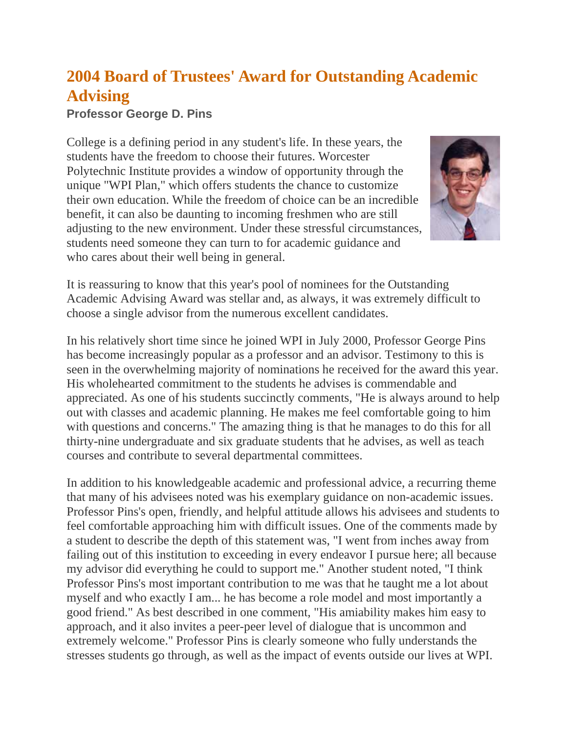## **2004 Board of Trustees' Award for Outstanding Academic Advising**

**Professor George D. Pins**

College is a defining period in any student's life. In these years, the students have the freedom to choose their futures. Worcester Polytechnic Institute provides a window of opportunity through the unique "WPI Plan," which offers students the chance to customize their own education. While the freedom of choice can be an incredible benefit, it can also be daunting to incoming freshmen who are still adjusting to the new environment. Under these stressful circumstances, students need someone they can turn to for academic guidance and who cares about their well being in general.



It is reassuring to know that this year's pool of nominees for the Outstanding Academic Advising Award was stellar and, as always, it was extremely difficult to choose a single advisor from the numerous excellent candidates.

In his relatively short time since he joined WPI in July 2000, Professor George Pins has become increasingly popular as a professor and an advisor. Testimony to this is seen in the overwhelming majority of nominations he received for the award this year. His wholehearted commitment to the students he advises is commendable and appreciated. As one of his students succinctly comments, "He is always around to help out with classes and academic planning. He makes me feel comfortable going to him with questions and concerns." The amazing thing is that he manages to do this for all thirty-nine undergraduate and six graduate students that he advises, as well as teach courses and contribute to several departmental committees.

In addition to his knowledgeable academic and professional advice, a recurring theme that many of his advisees noted was his exemplary guidance on non-academic issues. Professor Pins's open, friendly, and helpful attitude allows his advisees and students to feel comfortable approaching him with difficult issues. One of the comments made by a student to describe the depth of this statement was, "I went from inches away from failing out of this institution to exceeding in every endeavor I pursue here; all because my advisor did everything he could to support me." Another student noted, "I think Professor Pins's most important contribution to me was that he taught me a lot about myself and who exactly I am... he has become a role model and most importantly a good friend." As best described in one comment, "His amiability makes him easy to approach, and it also invites a peer-peer level of dialogue that is uncommon and extremely welcome." Professor Pins is clearly someone who fully understands the stresses students go through, as well as the impact of events outside our lives at WPI.